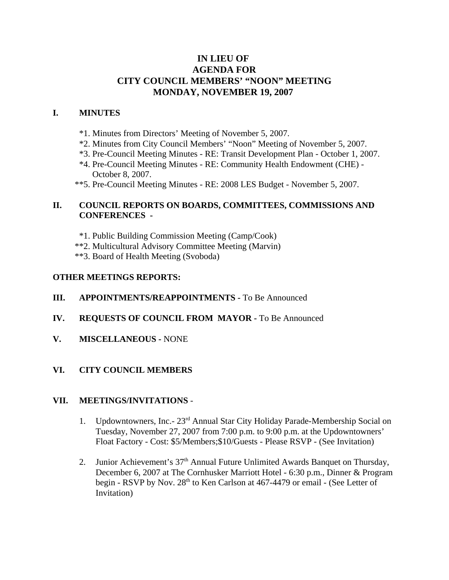# **IN LIEU OF AGENDA FOR CITY COUNCIL MEMBERS' "NOON" MEETING MONDAY, NOVEMBER 19, 2007**

### **I. MINUTES**

- \*1. Minutes from Directors' Meeting of November 5, 2007.
- \*2. Minutes from City Council Members' "Noon" Meeting of November 5, 2007.
- \*3. Pre-Council Meeting Minutes RE: Transit Development Plan October 1, 2007.
- \*4. Pre-Council Meeting Minutes RE: Community Health Endowment (CHE) October 8, 2007.
- \*\*5. Pre-Council Meeting Minutes RE: 2008 LES Budget November 5, 2007.

## **II. COUNCIL REPORTS ON BOARDS, COMMITTEES, COMMISSIONS AND CONFERENCES -**

- \*1. Public Building Commission Meeting (Camp/Cook)
- \*\*2. Multicultural Advisory Committee Meeting (Marvin)
- \*\*3. Board of Health Meeting (Svoboda)

### **OTHER MEETINGS REPORTS:**

#### **III.** APPOINTMENTS/REAPPOINTMENTS - To Be Announced

- **IV. REQUESTS OF COUNCIL FROM MAYOR -** To Be Announced
- **V. MISCELLANEOUS -** NONE

### **VI. CITY COUNCIL MEMBERS**

#### **VII. MEETINGS/INVITATIONS** -

- 1. Updowntowners, Inc.- 23rd Annual Star City Holiday Parade-Membership Social on Tuesday, November 27, 2007 from 7:00 p.m. to 9:00 p.m. at the Updowntowners' Float Factory - Cost: \$5/Members;\$10/Guests - Please RSVP - (See Invitation)
- 2. Junior Achievement's 37<sup>th</sup> Annual Future Unlimited Awards Banquet on Thursday, December 6, 2007 at The Cornhusker Marriott Hotel - 6:30 p.m., Dinner & Program begin - RSVP by Nov. 28<sup>th</sup> to Ken Carlson at 467-4479 or email - (See Letter of Invitation)